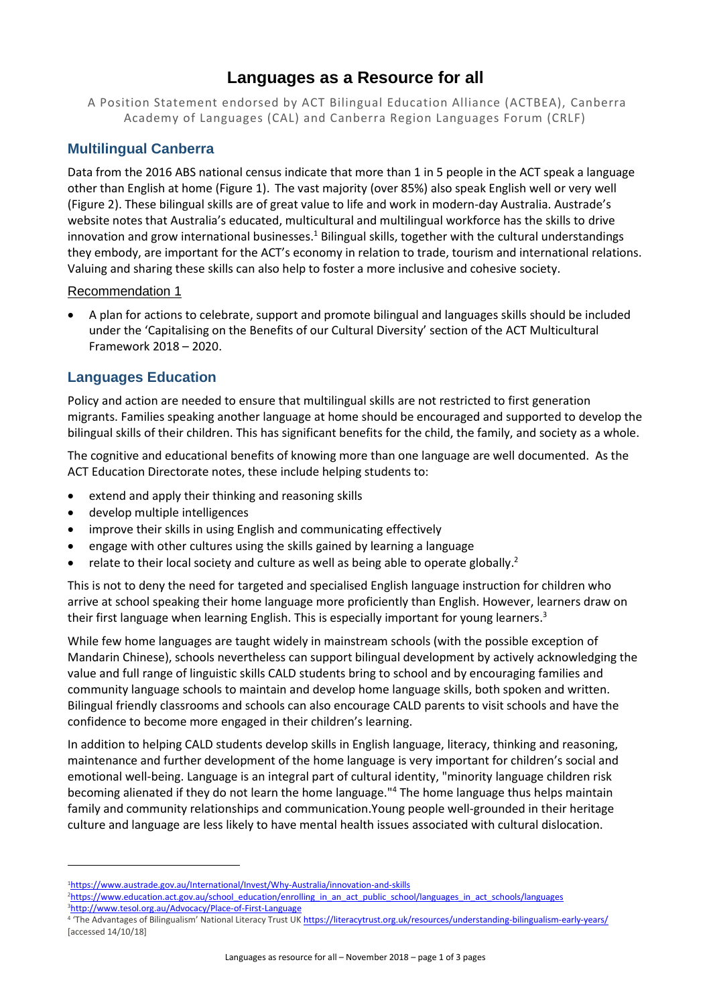# **Languages as a Resource for all**

A Position Statement endorsed by ACT Bilingual Education Alliance (ACTBEA), Canberra Academy of Languages (CAL) and Canberra Region Languages Forum (CRLF)

# **Multilingual Canberra**

Data from the 2016 ABS national census indicate that more than 1 in 5 people in the ACT speak a language other than English at home (Figure 1). The vast majority (over 85%) also speak English well or very well (Figure 2). These bilingual skills are of great value to life and work in modern-day Australia. Austrade's website notes that Australia's educated, multicultural and multilingual workforce has the skills to drive innovation and grow international businesses.<sup>1</sup> Bilingual skills, together with the cultural understandings they embody, are important for the ACT's economy in relation to trade, tourism and international relations. Valuing and sharing these skills can also help to foster a more inclusive and cohesive society.

### Recommendation 1

• A plan for actions to celebrate, support and promote bilingual and languages skills should be included under the 'Capitalising on the Benefits of our Cultural Diversity' section of the ACT Multicultural Framework 2018 – 2020.

# **Languages Education**

Policy and action are needed to ensure that multilingual skills are not restricted to first generation migrants. Families speaking another language at home should be encouraged and supported to develop the bilingual skills of their children. This has significant benefits for the child, the family, and society as a whole.

The cognitive and educational benefits of knowing more than one language are well documented. As the ACT Education Directorate notes, these include helping students to:

- extend and apply their thinking and reasoning skills
- develop multiple intelligences
- improve their skills in using English and communicating effectively
- engage with other cultures using the skills gained by learning a language
- relate to their local society and culture as well as being able to operate globally.<sup>2</sup>

This is not to deny the need for targeted and specialised English language instruction for children who arrive at school speaking their home language more proficiently than English. However, learners draw on their first language when learning English. This is especially important for young learners.<sup>3</sup>

While few home languages are taught widely in mainstream schools (with the possible exception of Mandarin Chinese), schools nevertheless can support bilingual development by actively acknowledging the value and full range of linguistic skills CALD students bring to school and by encouraging families and community language schools to maintain and develop home language skills, both spoken and written. Bilingual friendly classrooms and schools can also encourage CALD parents to visit schools and have the confidence to become more engaged in their children's learning.

In addition to helping CALD students develop skills in English language, literacy, thinking and reasoning, maintenance and further development of the home language is very important for children's social and emotional well-being. Language is an integral part of cultural identity, "minority language children risk becoming alienated if they do not learn the home language."<sup>4</sup> The home language thus helps maintain family and community relationships and communication.Young people well-grounded in their heritage culture and language are less likely to have mental health issues associated with cultural dislocation.

**.** 

<sup>1</sup><https://www.austrade.gov.au/International/Invest/Why-Australia/innovation-and-skills>

<sup>&</sup>lt;sup>2</sup>[https://www.education.act.gov.au/school\\_education/enrolling\\_in\\_an\\_act\\_public\\_school/languages\\_in\\_act\\_schools/languages](https://www.education.act.gov.au/school_education/enrolling_in_an_act_public_school/languages_in_act_schools/languages)

<sup>3</sup><http://www.tesol.org.au/Advocacy/Place-of-First-Language>

<sup>&</sup>lt;sup>4</sup> 'The Advantages of Bilingualism' National Literacy Trust UK <https://literacytrust.org.uk/resources/understanding-bilingualism-early-years/> [accessed 14/10/18]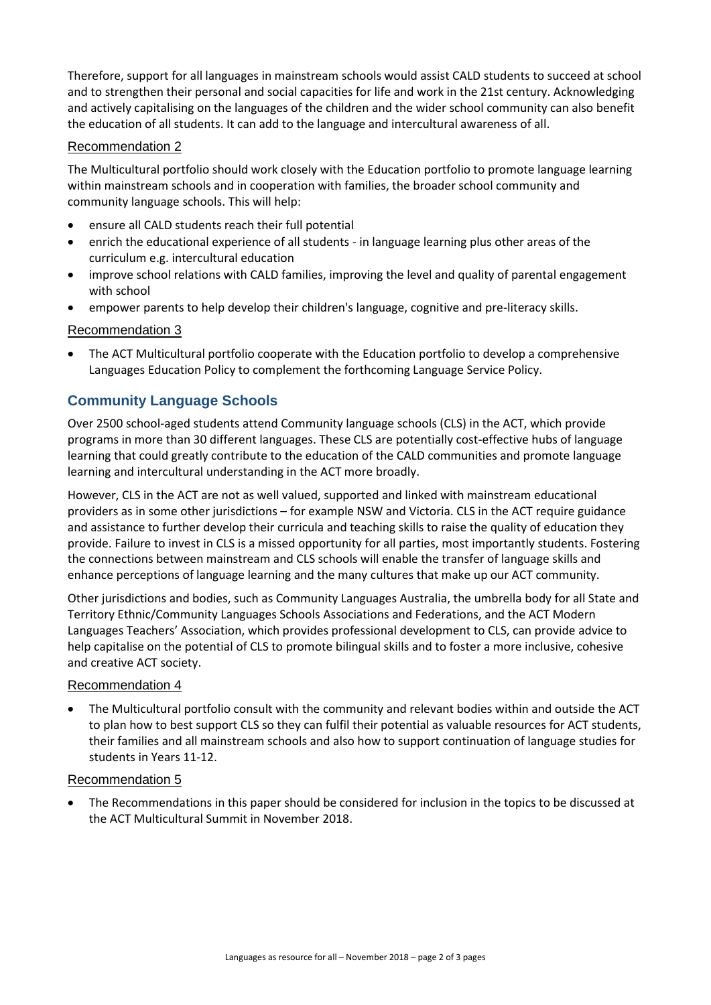Therefore, support for all languages in mainstream schools would assist CALD students to succeed at school and to strengthen their personal and social capacities for life and work in the 21st century. Acknowledging and actively capitalising on the languages of the children and the wider school community can also benefit the education of all students. It can add to the language and intercultural awareness of all.

### Recommendation 2

The Multicultural portfolio should work closely with the Education portfolio to promote language learning within mainstream schools and in cooperation with families, the broader school community and community language schools. This will help:

- ensure all CALD students reach their full potential
- enrich the educational experience of all students in language learning plus other areas of the curriculum e.g. intercultural education
- improve school relations with CALD families, improving the level and quality of parental engagement with school
- empower parents to help develop their children's language, cognitive and pre-literacy skills.

### Recommendation 3

• The ACT Multicultural portfolio cooperate with the Education portfolio to develop a comprehensive Languages Education Policy to complement the forthcoming Language Service Policy.

# **Community Language Schools**

Over 2500 school-aged students attend Community language schools (CLS) in the ACT, which provide programs in more than 30 different languages. These CLS are potentially cost-effective hubs of language learning that could greatly contribute to the education of the CALD communities and promote language learning and intercultural understanding in the ACT more broadly.

However, CLS in the ACT are not as well valued, supported and linked with mainstream educational providers as in some other jurisdictions – for example NSW and Victoria. CLS in the ACT require guidance and assistance to further develop their curricula and teaching skills to raise the quality of education they provide. Failure to invest in CLS is a missed opportunity for all parties, most importantly students. Fostering the connections between mainstream and CLS schools will enable the transfer of language skills and enhance perceptions of language learning and the many cultures that make up our ACT community.

Other jurisdictions and bodies, such as Community Languages Australia, the umbrella body for all State and Territory Ethnic/Community Languages Schools Associations and Federations, and the ACT Modern Languages Teachers' Association, which provides professional development to CLS, can provide advice to help capitalise on the potential of CLS to promote bilingual skills and to foster a more inclusive, cohesive and creative ACT society.

### Recommendation 4

• The Multicultural portfolio consult with the community and relevant bodies within and outside the ACT to plan how to best support CLS so they can fulfil their potential as valuable resources for ACT students, their families and all mainstream schools and also how to support continuation of language studies for students in Years 11-12.

### Recommendation 5

• The Recommendations in this paper should be considered for inclusion in the topics to be discussed at the ACT Multicultural Summit in November 2018.